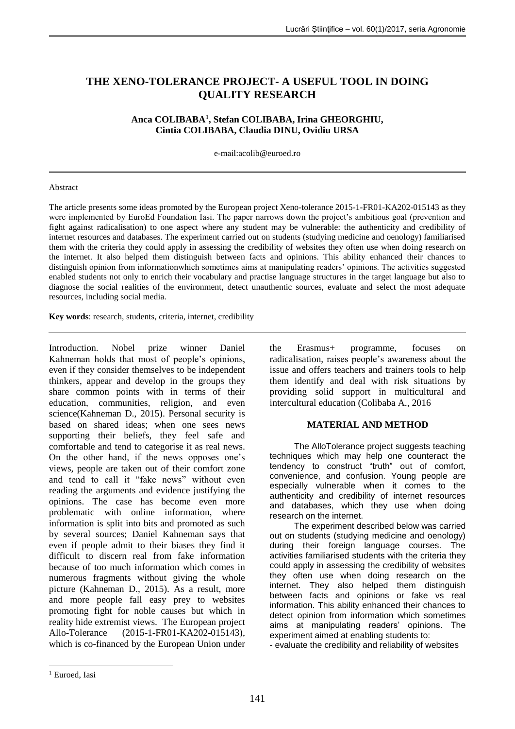# **THE XENO-TOLERANCE PROJECT- A USEFUL TOOL IN DOING QUALITY RESEARCH**

### **Anca COLIBABA<sup>1</sup> , Stefan COLIBABA, Irina GHEORGHIU, Cintia COLIBABA, Claudia DINU, Ovidiu URSA**

e-mail:acolib@euroed.ro

### Abstract

The article presents some ideas promoted by the European project Xeno-tolerance 2015-1-FR01-KA202-015143 as they were implemented by EuroEd Foundation Iasi. The paper narrows down the project's ambitious goal (prevention and fight against radicalisation) to one aspect where any student may be vulnerable: the authenticity and credibility of internet resources and databases. The experiment carried out on students (studying medicine and oenology) familiarised them with the criteria they could apply in assessing the credibility of websites they often use when doing research on the internet. It also helped them distinguish between facts and opinions. This ability enhanced their chances to distinguish opinion from informationwhich sometimes aims at manipulating readers' opinions. The activities suggested enabled students not only to enrich their vocabulary and practise language structures in the target language but also to diagnose the social realities of the environment, detect unauthentic sources, evaluate and select the most adequate resources, including social media.

**Key words**: research, students, criteria, internet, credibility

Introduction. Nobel prize winner Daniel Kahneman holds that most of people's opinions, even if they consider themselves to be independent thinkers, appear and develop in the groups they share common points with in terms of their education, communities, religion, and even science(Kahneman D., 2015). Personal security is based on shared ideas; when one sees news supporting their beliefs, they feel safe and comfortable and tend to categorise it as real news. On the other hand, if the news opposes one's views, people are taken out of their comfort zone and tend to call it "fake news" without even reading the arguments and evidence justifying the opinions. The case has become even more problematic with online information, where information is split into bits and promoted as such by several sources; Daniel Kahneman says that even if people admit to their biases they find it difficult to discern real from fake information because of too much information which comes in numerous fragments without giving the whole picture (Kahneman D., 2015). As a result, more and more people fall easy prey to websites promoting fight for noble causes but which in reality hide extremist views. The European project Allo-Tolerance (2015-1-FR01-KA202-015143), which is co-financed by the European Union under the Erasmus+ programme, focuses on radicalisation, raises people's awareness about the issue and offers teachers and trainers tools to help them identify and deal with risk situations by providing solid support in multicultural and intercultural education (Colibaba A., 2016

### **MATERIAL AND METHOD**

The AlloTolerance project suggests teaching techniques which may help one counteract the tendency to construct "truth" out of comfort, convenience, and confusion. Young people are especially vulnerable when it comes to the authenticity and credibility of internet resources and databases, which they use when doing research on the internet.

The experiment described below was carried out on students (studying medicine and oenology) during their foreign language courses. The activities familiarised students with the criteria they could apply in assessing the credibility of websites they often use when doing research on the internet. They also helped them distinguish between facts and opinions or fake vs real information. This ability enhanced their chances to detect opinion from information which sometimes aims at manipulating readers' opinions. The experiment aimed at enabling students to:

- evaluate the credibility and reliability of websites

1

<sup>&</sup>lt;sup>1</sup> Euroed, Iasi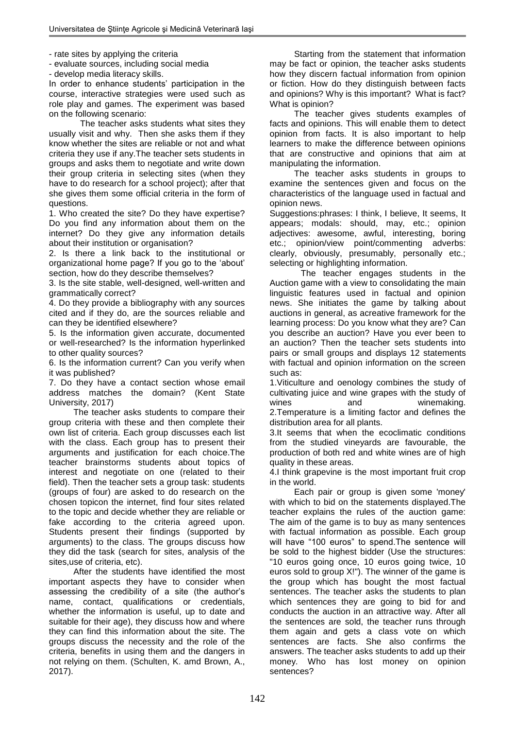- rate sites by applying the criteria

- evaluate sources, including social media

- develop media literacy skills.

In order to enhance students' participation in the course, interactive strategies were used such as role play and games. The experiment was based on the following scenario:

The teacher asks students what sites they usually visit and why. Then she asks them if they know whether the sites are reliable or not and what criteria they use if any.The teacher sets students in groups and asks them to negotiate and write down their group criteria in selecting sites (when they have to do research for a school project); after that she gives them some official criteria in the form of questions.

1. Who created the site? Do they have expertise? Do you find any information about them on the internet? Do they give any information details about their institution or organisation?

2. Is there a link back to the institutional or organizational home page? If you go to the 'about' section, how do they describe themselves?

3. Is the site stable, well-designed, well-written and grammatically correct?

4. Do they provide a bibliography with any sources cited and if they do, are the sources reliable and can they be identified elsewhere?

5. Is the information given accurate, documented or well-researched? Is the information hyperlinked to other quality sources?

6. Is the information current? Can you verify when it was published?

7. Do they have a contact section whose email address matches the domain? (Kent State University, 2017)

The teacher asks students to compare their group criteria with these and then complete their own list of criteria. Each group discusses each list with the class. Each group has to present their arguments and justification for each choice.The teacher brainstorms students about topics of interest and negotiate on one (related to their field). Then the teacher sets a group task: students (groups of four) are asked to do research on the chosen topicon the internet, find four sites related to the topic and decide whether they are reliable or fake according to the criteria agreed upon. Students present their findings (supported by arguments) to the class. The groups discuss how they did the task (search for sites, analysis of the sites,use of criteria, etc).

After the students have identified the most important aspects they have to consider when assessing the credibility of a site (the author's name, contact, qualifications or credentials, whether the information is useful, up to date and suitable for their age), they discuss how and where they can find this information about the site. The groups discuss the necessity and the role of the criteria, benefits in using them and the dangers in not relying on them. [\(Schulten, K. amd Brown, A.,](https://www.nytimes.com/by/katherine-schulten)  [2017\).](https://www.nytimes.com/by/katherine-schulten)

Starting from the statement that information may be fact or opinion, the teacher asks students how they discern factual information from opinion or fiction. How do they distinguish between facts and opinions? Why is this important? What is fact? What is opinion?

The teacher gives students examples of facts and opinions. This will enable them to detect opinion from facts. It is also important to help learners to make the difference between opinions that are constructive and opinions that aim at manipulating the information.

The teacher asks students in groups to examine the sentences given and focus on the characteristics of the language used in factual and opinion news.

Suggestions:phrases: I think, I believe, It seems, It appears; modals: should, may, etc.; opinion adjectives: awesome, awful, interesting, boring etc.; opinion/view point/commenting adverbs: clearly, obviously, presumably, personally etc.; selecting or highlighting information.

The teacher engages students in the Auction game with a view to consolidating the main linguistic features used in factual and opinion news. She initiates the game by talking about auctions in general, as acreative framework for the learning process: Do you know what they are? Can you describe an auction? Have you ever been to an auction? Then the teacher sets students into pairs or small groups and displays 12 statements with factual and opinion information on the screen such as:

1.Viticulture and oenology combines the study of cultivating juice and wine grapes with the study of wines and winemaking. 2.Temperature is a limiting factor and defines the distribution area for all plants.

3.It seems that when the ecoclimatic conditions from the studied vineyards are favourable, the production of both red and white wines are of high quality in these areas.

4.I think grapevine is the most important fruit crop in the world.

Each pair or group is given some 'money' with which to bid on the statements displayed.The teacher explains the rules of the auction game: The aim of the game is to buy as many sentences with factual information as possible. Each group will have "100 euros" to spend.The sentence will be sold to the highest bidder (Use the structures: "10 euros going once, 10 euros going twice, 10 euros sold to group X!"). The winner of the game is the group which has bought the most factual sentences. The teacher asks the students to plan which sentences they are going to bid for and conducts the auction in an attractive way. After all the sentences are sold, the teacher runs through them again and gets a class vote on which sentences are facts. She also confirms the answers. The teacher asks students to add up their money. Who has lost money on opinion sentences?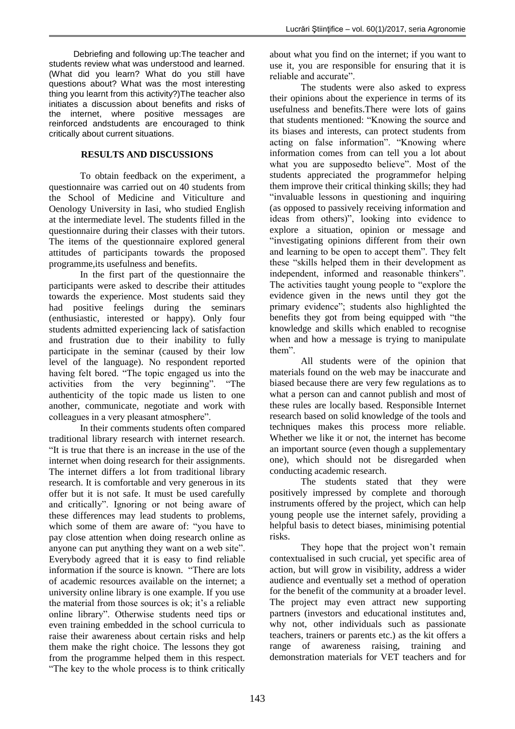Debriefing and following up:The teacher and students review what was understood and learned. (What did you learn? What do you still have questions about? What was the most interesting thing you learnt from this activity?)The teacher also initiates a discussion about benefits and risks of the internet, where positive messages are reinforced andstudents are encouraged to think critically about current situations.

## **RESULTS AND DISCUSSIONS**

To obtain feedback on the experiment, a questionnaire was carried out on 40 students from the School of Medicine and Viticulture and Oenology University in Iasi, who studied English at the intermediate level. The students filled in the questionnaire during their classes with their tutors. The items of the questionnaire explored general attitudes of participants towards the proposed programme,its usefulness and benefits.

In the first part of the questionnaire the participants were asked to describe their attitudes towards the experience. Most students said they had positive feelings during the seminars (enthusiastic, interested or happy). Only four students admitted experiencing lack of satisfaction and frustration due to their inability to fully participate in the seminar (caused by their low level of the language). No respondent reported having felt bored. "The topic engaged us into the activities from the very beginning". "The authenticity of the topic made us listen to one another, communicate, negotiate and work with colleagues in a very pleasant atmosphere".

In their comments students often compared traditional library research with internet research. "It is true that there is an increase in the use of the internet when doing research for their assignments. The internet differs a lot from traditional library research. It is comfortable and very generous in its offer but it is not safe. It must be used carefully and critically". Ignoring or not being aware of these differences may lead students to problems, which some of them are aware of: "you have to pay close attention when doing research online as anyone can put anything they want on a web site". Everybody agreed that it is easy to find reliable information if the source is known. "There are lots of academic resources available on the internet; a university online library is one example. If you use the material from those sources is ok; it's a reliable online library". Otherwise students need tips or even training embedded in the school curricula to raise their awareness about certain risks and help them make the right choice. The lessons they got from the programme helped them in this respect. "The key to the whole process is to think critically about what you find on the internet; if you want to use it, you are responsible for ensuring that it is reliable and accurate".

The students were also asked to express their opinions about the experience in terms of its usefulness and benefits.There were lots of gains that students mentioned: "Knowing the source and its biases and interests, can protect students from acting on false information". "Knowing where information comes from can tell you a lot about what you are supposedto believe". Most of the students appreciated the programmefor helping them improve their critical thinking skills; they had "invaluable lessons in questioning and inquiring (as opposed to passively receiving information and ideas from others)", looking into evidence to explore a situation, opinion or message and "investigating opinions different from their own and learning to be open to accept them". They felt these "skills helped them in their development as independent, informed and reasonable thinkers". The activities taught young people to "explore the evidence given in the news until they got the primary evidence"; students also highlighted the benefits they got from being equipped with "the knowledge and skills which enabled to recognise when and how a message is trying to manipulate them".

All students were of the opinion that materials found on the web may be inaccurate and biased because there are very few regulations as to what a person can and cannot publish and most of these rules are locally based. Responsible Internet research based on solid knowledge of the tools and techniques makes this process more reliable. Whether we like it or not, the internet has become an important source (even though a supplementary one), which should not be disregarded when conducting academic research.

The students stated that they were positively impressed by complete and thorough instruments offered by the project, which can help young people use the internet safely, providing a helpful basis to detect biases, minimising potential risks.

They hope that the project won't remain contextualised in such crucial, yet specific area of action, but will grow in visibility, address a wider audience and eventually set a method of operation for the benefit of the community at a broader level. The project may even attract new supporting partners (investors and educational institutes and, why not, other individuals such as passionate teachers, trainers or parents etc.) as the kit offers a range of awareness raising, training and demonstration materials for VET teachers and for